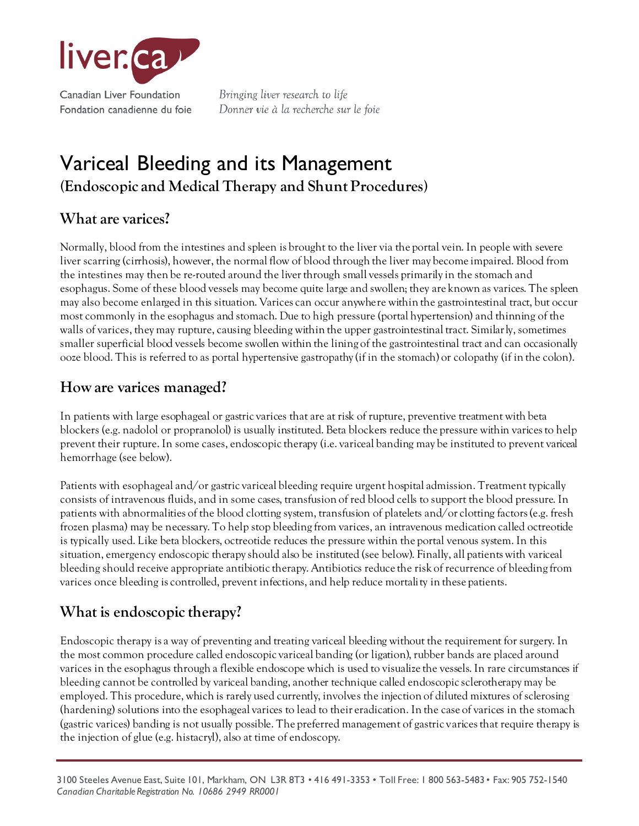

Bringing liver research to life Donner vie à la recherche sur le foie

# Variceal Bleeding and its Management **(Endoscopic and Medical Therapy and Shunt Procedures)**

# **What are varices?**

Normally, blood from the intestines and spleen is brought to the liver via the portal vein. In people with severe liver scarring (cirrhosis), however, the normal flow of blood through the liver may become impaired. Blood from the intestines may then be re-routed around the liver through small vessels primarily in the stomach and esophagus. Some of these blood vessels may become quite large and swollen; they are known as varices. The spleen may also become enlarged in this situation. Varices can occur anywhere within the gastrointestinal tract, but occur most commonly in the esophagus and stomach. Due to high pressure (portal hypertension) and thinning of the walls of varices, they may rupture, causing bleeding within the upper gastrointestinal tract. Similarly, sometimes smaller superficial blood vessels become swollen within the lining of the gastrointestinal tract and can occasionally ooze blood. This is referred to as portal hypertensive gastropathy (if in the stomach) or colopathy (if in the colon).

#### **How are varices managed?**

In patients with large esophageal or gastric varices that are at risk of rupture, preventive treatment with beta blockers (e.g. nadolol or propranolol) is usually instituted. Beta blockers reduce the pressure within varices to help prevent their rupture. In some cases, endoscopic therapy (i.e. variceal banding may be instituted to prevent variceal hemorrhage (see below).

Patients with esophageal and/or gastric variceal bleeding require urgent hospital admission. Treatment typically consists of intravenous fluids, and in some cases, transfusion of red blood cells to support the blood pressure. In patients with abnormalities of the blood clotting system, transfusion of platelets and/or clotting factors (e.g. fresh frozen plasma) may be necessary. To help stop bleeding from varices, an intravenous medication called octreotide is typically used. Like beta blockers, octreotide reduces the pressure within the portal venous system. In this situation, emergency endoscopic therapy should also be instituted (see below). Finally, all patients with variceal bleeding should receive appropriate antibiotic therapy. Antibiotics reduce the risk of recurrence of bleeding from varices once bleeding is controlled, prevent infections, and help reduce mortality in these patients.

# **What is endoscopic therapy?**

Endoscopic therapy is a way of preventing and treating variceal bleeding without the requirement for surgery. In the most common procedure called endoscopic variceal banding (or ligation), rubber bands are placed around varices in the esophagus through a flexible endoscope which is used to visualize the vessels. In rare circumstances if bleeding cannot be controlled by variceal banding, another technique called endoscopic sclerotherapy may be employed. This procedure, which is rarely used currently, involves the injection of diluted mixtures of sclerosing (hardening) solutions into the esophageal varices to lead to their eradication. In the case of varices in the stomach (gastric varices) banding is not usually possible. The preferred management of gastric varices that require therapy is the injection of glue (e.g. histacryl), also at time of endoscopy.